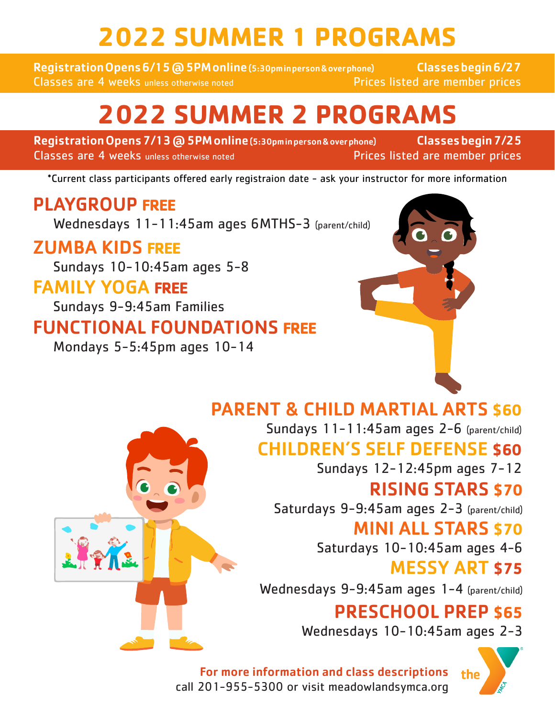# **2022 SUMMER 1 PROGRAMS**

Registration Opens 6/15 @ 5PM online (5:30pm in person & over phone) Classes begin 6/27 Classes are 4 weeks unless otherwise noted **Prices** Prices listed are member prices

# **2022 SUMMER 2 PROGRAMS**

Registration Opens 7/13 @ 5PM online (5:30pminperson & over phone) Classes begin 7/25 Classes are 4 weeks unless otherwise noted **Prices Isted are member prices** 

\*Current class participants offered early registraion date - ask your instructor for more information

## PLAYGROUP **FREE**

Wednesdays 11-11:45am ages 6MTHS-3 (parent/child)

### ZUMBA KIDS **FREE**

Sundays 10-10:45am ages 5-8

### FAMILY YOGA **FREE**

Sundays 9-9:45am Families

## FUNCTIONAL FOUNDATIONS **FREE**

Mondays 5-5:45pm ages 10-14

## PARENT & CHILD MARTIAL ARTS **\$60**

Sundays 11-11:45am ages 2-6 (parent/child) CHILDREN'S SELF DEFENSE **\$60**

Sundays 12-12:45pm ages 7-12

## RISING STARS **\$70**

Saturdays 9-9:45am ages 2-3 (parent/child)

#### MINI ALL STARS **\$70**

Saturdays 10-10:45am ages 4-6

MESSY ART **\$75**

Wednesdays 9-9:45am ages 1-4 (parent/child)

## PRESCHOOL PREP **\$65**

Wednesdays 10-10:45am ages 2-3

For more information and class descriptions call 201-955-5300 or visit meadowlandsymca.org